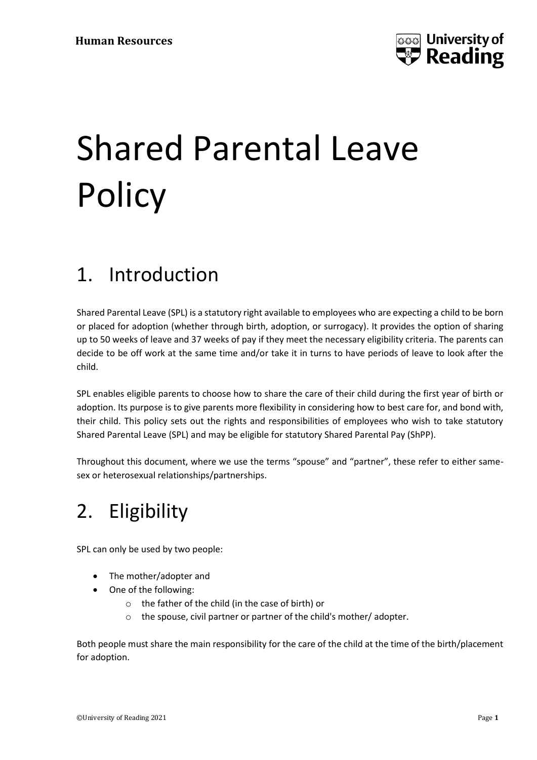

# Shared Parental Leave **Policy**

### 1. Introduction

Shared Parental Leave (SPL) is a statutory right available to employees who are expecting a child to be born or placed for adoption (whether through birth, adoption, or surrogacy). It provides the option of sharing up to 50 weeks of leave and 37 weeks of pay if they meet the necessary eligibility criteria. The parents can decide to be off work at the same time and/or take it in turns to have periods of leave to look after the child.

SPL enables eligible parents to choose how to share the care of their child during the first year of birth or adoption. Its purpose is to give parents more flexibility in considering how to best care for, and bond with, their child. This policy sets out the rights and responsibilities of employees who wish to take statutory Shared Parental Leave (SPL) and may be eligible for statutory Shared Parental Pay (ShPP).

Throughout this document, where we use the terms "spouse" and "partner", these refer to either samesex or heterosexual relationships/partnerships.

## 2. Eligibility

SPL can only be used by two people:

- The mother/adopter and
- One of the following:
	- o the father of the child (in the case of birth) or
	- o the spouse, civil partner or partner of the child's mother/ adopter.

Both people must share the main responsibility for the care of the child at the time of the birth/placement for adoption.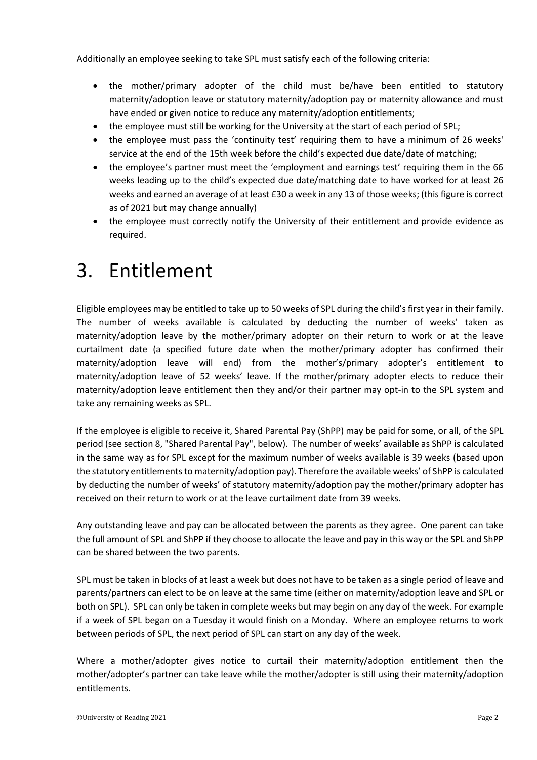Additionally an employee seeking to take SPL must satisfy each of the following criteria:

- the mother/primary adopter of the child must be/have been entitled to statutory maternity/adoption leave or statutory maternity/adoption pay or maternity allowance and must have ended or given notice to reduce any maternity/adoption entitlements;
- the employee must still be working for the University at the start of each period of SPL;
- the employee must pass the 'continuity test' requiring them to have a minimum of 26 weeks' service at the end of the 15th week before the child's expected due date/date of matching;
- the employee's partner must meet the 'employment and earnings test' requiring them in the 66 weeks leading up to the child's expected due date/matching date to have worked for at least 26 weeks and earned an average of at least £30 a week in any 13 of those weeks; (this figure is correct as of 2021 but may change annually)
- the employee must correctly notify the University of their entitlement and provide evidence as required.

### 3. Entitlement

Eligible employees may be entitled to take up to 50 weeks of SPL during the child's first year in their family. The number of weeks available is calculated by deducting the number of weeks' taken as maternity/adoption leave by the mother/primary adopter on their return to work or at the leave curtailment date (a specified future date when the mother/primary adopter has confirmed their maternity/adoption leave will end) from the mother's/primary adopter's entitlement to maternity/adoption leave of 52 weeks' leave. If the mother/primary adopter elects to reduce their maternity/adoption leave entitlement then they and/or their partner may opt-in to the SPL system and take any remaining weeks as SPL.

If the employee is eligible to receive it, Shared Parental Pay (ShPP) may be paid for some, or all, of the SPL period (see section 8, "Shared Parental Pay", below). The number of weeks' available as ShPP is calculated in the same way as for SPL except for the maximum number of weeks available is 39 weeks (based upon the statutory entitlements to maternity/adoption pay). Therefore the available weeks' of ShPP is calculated by deducting the number of weeks' of statutory maternity/adoption pay the mother/primary adopter has received on their return to work or at the leave curtailment date from 39 weeks.

Any outstanding leave and pay can be allocated between the parents as they agree. One parent can take the full amount of SPL and ShPP if they choose to allocate the leave and pay in this way or the SPL and ShPP can be shared between the two parents.

SPL must be taken in blocks of at least a week but does not have to be taken as a single period of leave and parents/partners can elect to be on leave at the same time (either on maternity/adoption leave and SPL or both on SPL). SPL can only be taken in complete weeks but may begin on any day of the week. For example if a week of SPL began on a Tuesday it would finish on a Monday. Where an employee returns to work between periods of SPL, the next period of SPL can start on any day of the week.

Where a mother/adopter gives notice to curtail their maternity/adoption entitlement then the mother/adopter's partner can take leave while the mother/adopter is still using their maternity/adoption entitlements.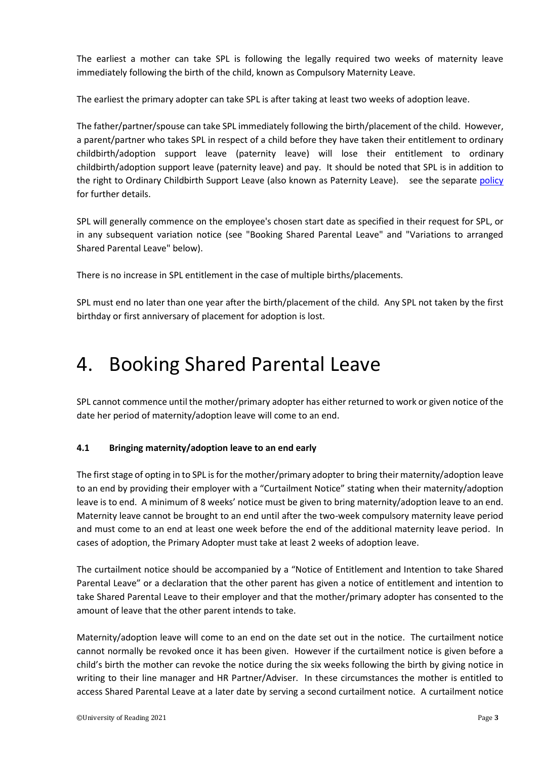The earliest a mother can take SPL is following the legally required two weeks of maternity leave immediately following the birth of the child, known as Compulsory Maternity Leave.

The earliest the primary adopter can take SPL is after taking at least two weeks of adoption leave.

The father/partner/spouse can take SPL immediately following the birth/placement of the child. However, a parent/partner who takes SPL in respect of a child before they have taken their entitlement to ordinary childbirth/adoption support leave (paternity leave) will lose their entitlement to ordinary childbirth/adoption support leave (paternity leave) and pay. It should be noted that SPL is in addition to the right to Ordinary Childbirth Support Leave (also known as Paternity Leave). see the separate [policy](file://///rdg-home/collabs/payshare/CMS/Uploaded%20docs/PDFs/Policies/humres-%20Ordinary%20Childbirth%20Adoption%20Support%20Leave%20Policy.pdf) for further details.

SPL will generally commence on the employee's chosen start date as specified in their request for SPL, or in any subsequent variation notice (see "Booking Shared Parental Leave" and "Variations to arranged Shared Parental Leave" below).

There is no increase in SPL entitlement in the case of multiple births/placements.

SPL must end no later than one year after the birth/placement of the child. Any SPL not taken by the first birthday or first anniversary of placement for adoption is lost.

### 4. Booking Shared Parental Leave

SPL cannot commence until the mother/primary adopter has either returned to work or given notice of the date her period of maternity/adoption leave will come to an end.

#### **4.1 Bringing maternity/adoption leave to an end early**

The first stage of opting in to SPL is for the mother/primary adopter to bring their maternity/adoption leave to an end by providing their employer with a "Curtailment Notice" stating when their maternity/adoption leave is to end. A minimum of 8 weeks' notice must be given to bring maternity/adoption leave to an end. Maternity leave cannot be brought to an end until after the two-week compulsory maternity leave period and must come to an end at least one week before the end of the additional maternity leave period. In cases of adoption, the Primary Adopter must take at least 2 weeks of adoption leave.

The curtailment notice should be accompanied by a "Notice of Entitlement and Intention to take Shared Parental Leave" or a declaration that the other parent has given a notice of entitlement and intention to take Shared Parental Leave to their employer and that the mother/primary adopter has consented to the amount of leave that the other parent intends to take.

Maternity/adoption leave will come to an end on the date set out in the notice. The curtailment notice cannot normally be revoked once it has been given. However if the curtailment notice is given before a child's birth the mother can revoke the notice during the six weeks following the birth by giving notice in writing to their line manager and HR Partner/Adviser. In these circumstances the mother is entitled to access Shared Parental Leave at a later date by serving a second curtailment notice. A curtailment notice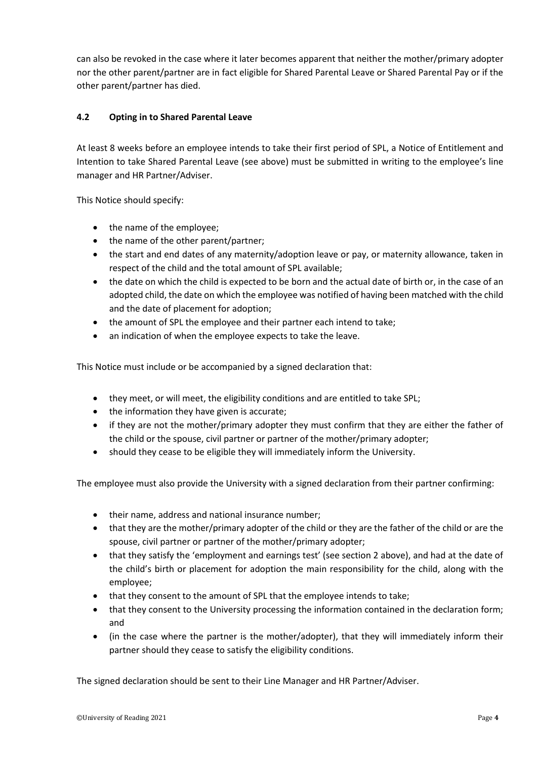can also be revoked in the case where it later becomes apparent that neither the mother/primary adopter nor the other parent/partner are in fact eligible for Shared Parental Leave or Shared Parental Pay or if the other parent/partner has died.

#### **4.2 Opting in to Shared Parental Leave**

At least 8 weeks before an employee intends to take their first period of SPL, a Notice of Entitlement and Intention to take Shared Parental Leave (see above) must be submitted in writing to the employee's line manager and HR Partner/Adviser.

This Notice should specify:

- the name of the employee;
- the name of the other parent/partner;
- the start and end dates of any maternity/adoption leave or pay, or maternity allowance, taken in respect of the child and the total amount of SPL available;
- the date on which the child is expected to be born and the actual date of birth or, in the case of an adopted child, the date on which the employee was notified of having been matched with the child and the date of placement for adoption;
- the amount of SPL the employee and their partner each intend to take;
- an indication of when the employee expects to take the leave.

This Notice must include or be accompanied by a signed declaration that:

- they meet, or will meet, the eligibility conditions and are entitled to take SPL;
- the information they have given is accurate;
- if they are not the mother/primary adopter they must confirm that they are either the father of the child or the spouse, civil partner or partner of the mother/primary adopter;
- should they cease to be eligible they will immediately inform the University.

The employee must also provide the University with a signed declaration from their partner confirming:

- their name, address and national insurance number;
- that they are the mother/primary adopter of the child or they are the father of the child or are the spouse, civil partner or partner of the mother/primary adopter;
- that they satisfy the 'employment and earnings test' (see section 2 above), and had at the date of the child's birth or placement for adoption the main responsibility for the child, along with the employee;
- that they consent to the amount of SPL that the employee intends to take;
- that they consent to the University processing the information contained in the declaration form; and
- (in the case where the partner is the mother/adopter), that they will immediately inform their partner should they cease to satisfy the eligibility conditions.

The signed declaration should be sent to their Line Manager and HR Partner/Adviser.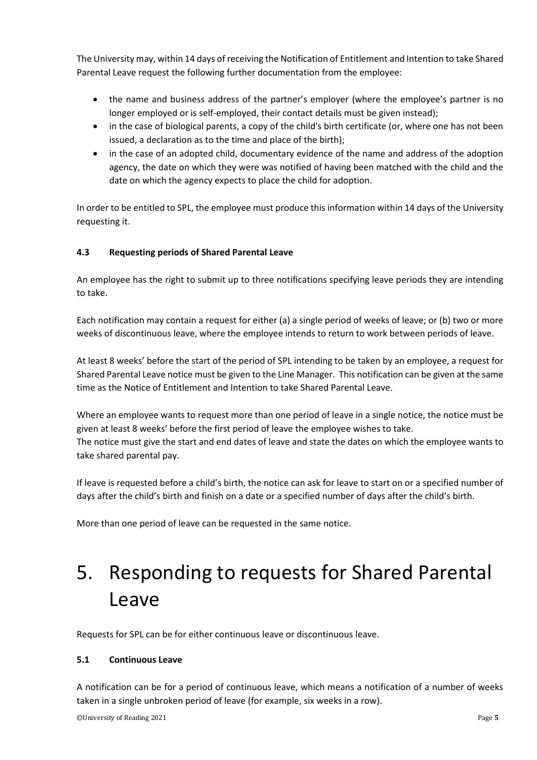The University may, within 14 days of receiving the Notification of Entitlement and Intention to take Shared Parental Leave request the following further documentation from the employee:

- the name and business address of the partner's employer (where the employee's partner is no longer employed or is self-employed, their contact details must be given instead);
- in the case of biological parents, a copy of the child's birth certificate (or, where one has not been issued, a declaration as to the time and place of the birth);
- in the case of an adopted child, documentary evidence of the name and address of the adoption agency, the date on which they were was notified of having been matched with the child and the date on which the agency expects to place the child for adoption.

In order to be entitled to SPL, the employee must produce this information within 14 days of the University requesting it.

#### **4.3 Requesting periods of Shared Parental Leave**

An employee has the right to submit up to three notifications specifying leave periods they are intending to take.

Each notification may contain a request for either (a) a single period of weeks of leave; or (b) two or more weeks of discontinuous leave, where the employee intends to return to work between periods of leave.

At least 8 weeks' before the start of the period of SPL intending to be taken by an employee, a request for Shared Parental Leave notice must be given to the Line Manager. This notification can be given at the same time as the Notice of Entitlement and Intention to take Shared Parental Leave.

Where an employee wants to request more than one period of leave in a single notice, the notice must be given at least 8 weeks' before the first period of leave the employee wishes to take. The notice must give the start and end dates of leave and state the dates on which the employee wants to take shared parental pay.

If leave is requested before a child's birth, the notice can ask for leave to start on or a specified number of days after the child's birth and finish on a date or a specified number of days after the child's birth.

More than one period of leave can be requested in the same notice.

# 5. Responding to requests for Shared Parental Leave

Requests for SPL can be for either continuous leave or discontinuous leave.

#### **5.1 Continuous Leave**

A notification can be for a period of continuous leave, which means a notification of a number of weeks taken in a single unbroken period of leave (for example, six weeks in a row).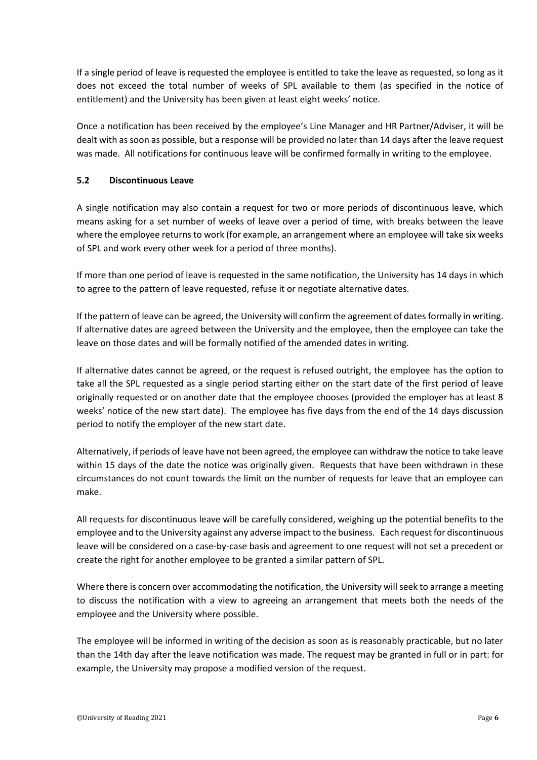If a single period of leave is requested the employee is entitled to take the leave as requested, so long as it does not exceed the total number of weeks of SPL available to them (as specified in the notice of entitlement) and the University has been given at least eight weeks' notice.

Once a notification has been received by the employee's Line Manager and HR Partner/Adviser, it will be dealt with as soon as possible, but a response will be provided no later than 14 days after the leave request was made. All notifications for continuous leave will be confirmed formally in writing to the employee.

#### **5.2 Discontinuous Leave**

A single notification may also contain a request for two or more periods of discontinuous leave, which means asking for a set number of weeks of leave over a period of time, with breaks between the leave where the employee returns to work (for example, an arrangement where an employee will take six weeks of SPL and work every other week for a period of three months).

If more than one period of leave is requested in the same notification, the University has 14 days in which to agree to the pattern of leave requested, refuse it or negotiate alternative dates.

If the pattern of leave can be agreed, the University will confirm the agreement of dates formally in writing. If alternative dates are agreed between the University and the employee, then the employee can take the leave on those dates and will be formally notified of the amended dates in writing.

If alternative dates cannot be agreed, or the request is refused outright, the employee has the option to take all the SPL requested as a single period starting either on the start date of the first period of leave originally requested or on another date that the employee chooses (provided the employer has at least 8 weeks' notice of the new start date). The employee has five days from the end of the 14 days discussion period to notify the employer of the new start date.

Alternatively, if periods of leave have not been agreed, the employee can withdraw the notice to take leave within 15 days of the date the notice was originally given. Requests that have been withdrawn in these circumstances do not count towards the limit on the number of requests for leave that an employee can make.

All requests for discontinuous leave will be carefully considered, weighing up the potential benefits to the employee and to the University against any adverse impact to the business. Each request for discontinuous leave will be considered on a case-by-case basis and agreement to one request will not set a precedent or create the right for another employee to be granted a similar pattern of SPL.

Where there is concern over accommodating the notification, the University will seek to arrange a meeting to discuss the notification with a view to agreeing an arrangement that meets both the needs of the employee and the University where possible.

The employee will be informed in writing of the decision as soon as is reasonably practicable, but no later than the 14th day after the leave notification was made. The request may be granted in full or in part: for example, the University may propose a modified version of the request.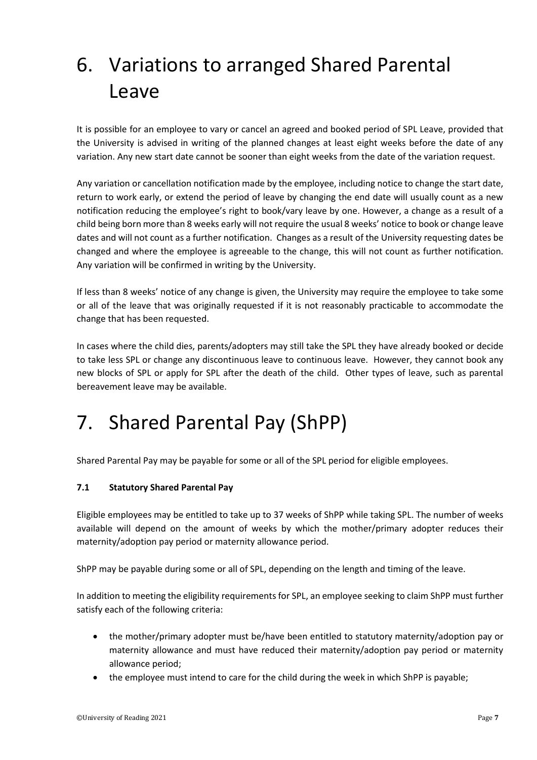# 6. Variations to arranged Shared Parental Leave

It is possible for an employee to vary or cancel an agreed and booked period of SPL Leave, provided that the University is advised in writing of the planned changes at least eight weeks before the date of any variation. Any new start date cannot be sooner than eight weeks from the date of the variation request.

Any variation or cancellation notification made by the employee, including notice to change the start date, return to work early, or extend the period of leave by changing the end date will usually count as a new notification reducing the employee's right to book/vary leave by one. However, a change as a result of a child being born more than 8 weeks early will not require the usual 8 weeks' notice to book or change leave dates and will not count as a further notification. Changes as a result of the University requesting dates be changed and where the employee is agreeable to the change, this will not count as further notification. Any variation will be confirmed in writing by the University.

If less than 8 weeks' notice of any change is given, the University may require the employee to take some or all of the leave that was originally requested if it is not reasonably practicable to accommodate the change that has been requested.

In cases where the child dies, parents/adopters may still take the SPL they have already booked or decide to take less SPL or change any discontinuous leave to continuous leave. However, they cannot book any new blocks of SPL or apply for SPL after the death of the child. Other types of leave, such as parental bereavement leave may be available.

## 7. Shared Parental Pay (ShPP)

Shared Parental Pay may be payable for some or all of the SPL period for eligible employees.

#### **7.1 Statutory Shared Parental Pay**

Eligible employees may be entitled to take up to 37 weeks of ShPP while taking SPL. The number of weeks available will depend on the amount of weeks by which the mother/primary adopter reduces their maternity/adoption pay period or maternity allowance period.

ShPP may be payable during some or all of SPL, depending on the length and timing of the leave.

In addition to meeting the eligibility requirements for SPL, an employee seeking to claim ShPP must further satisfy each of the following criteria:

- the mother/primary adopter must be/have been entitled to statutory maternity/adoption pay or maternity allowance and must have reduced their maternity/adoption pay period or maternity allowance period;
- the employee must intend to care for the child during the week in which ShPP is payable;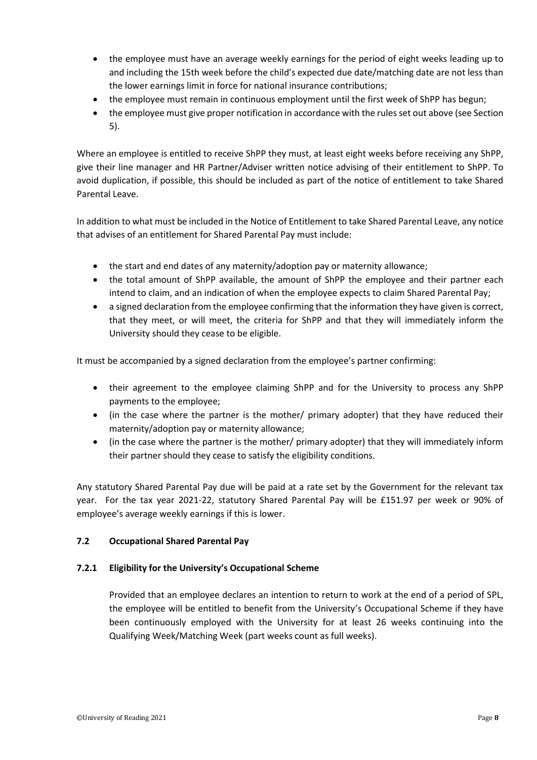- the employee must have an average weekly earnings for the period of eight weeks leading up to and including the 15th week before the child's expected due date/matching date are not less than the lower earnings limit in force for national insurance contributions;
- the employee must remain in continuous employment until the first week of ShPP has begun;
- the employee must give proper notification in accordance with the rules set out above (see Section 5).

Where an employee is entitled to receive ShPP they must, at least eight weeks before receiving any ShPP, give their line manager and HR Partner/Adviser written notice advising of their entitlement to ShPP. To avoid duplication, if possible, this should be included as part of the notice of entitlement to take Shared Parental Leave.

In addition to what must be included in the Notice of Entitlement to take Shared Parental Leave, any notice that advises of an entitlement for Shared Parental Pay must include:

- the start and end dates of any maternity/adoption pay or maternity allowance;
- the total amount of ShPP available, the amount of ShPP the employee and their partner each intend to claim, and an indication of when the employee expects to claim Shared Parental Pay;
- a signed declaration from the employee confirming that the information they have given is correct, that they meet, or will meet, the criteria for ShPP and that they will immediately inform the University should they cease to be eligible.

It must be accompanied by a signed declaration from the employee's partner confirming:

- their agreement to the employee claiming ShPP and for the University to process any ShPP payments to the employee;
- (in the case where the partner is the mother/ primary adopter) that they have reduced their maternity/adoption pay or maternity allowance;
- (in the case where the partner is the mother/ primary adopter) that they will immediately inform their partner should they cease to satisfy the eligibility conditions.

Any statutory Shared Parental Pay due will be paid at a rate set by the Government for the relevant tax year. For the tax year 2021-22, statutory Shared Parental Pay will be £151.97 per week or 90% of employee's average weekly earnings if this is lower.

#### **7.2 Occupational Shared Parental Pay**

#### **7.2.1 Eligibility for the University's Occupational Scheme**

Provided that an employee declares an intention to return to work at the end of a period of SPL, the employee will be entitled to benefit from the University's Occupational Scheme if they have been continuously employed with the University for at least 26 weeks continuing into the Qualifying Week/Matching Week (part weeks count as full weeks).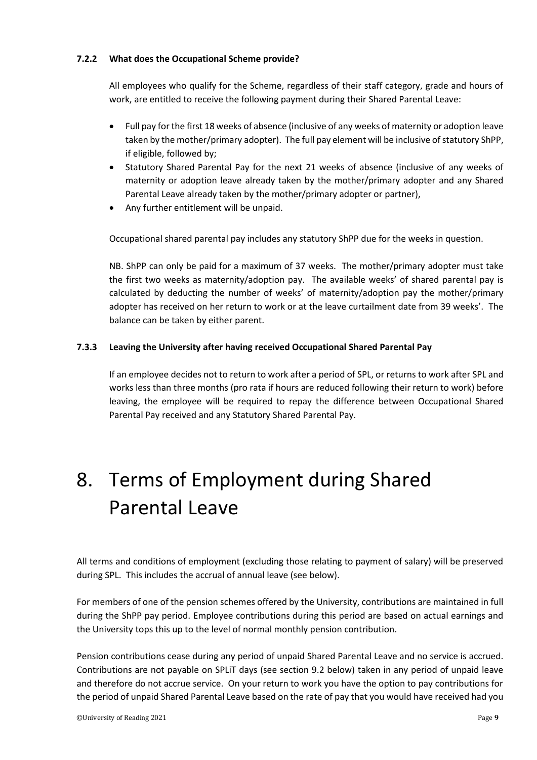#### **7.2.2 What does the Occupational Scheme provide?**

All employees who qualify for the Scheme, regardless of their staff category, grade and hours of work, are entitled to receive the following payment during their Shared Parental Leave:

- Full pay for the first 18 weeks of absence (inclusive of any weeks of maternity or adoption leave taken by the mother/primary adopter). The full pay element will be inclusive of statutory ShPP, if eligible, followed by;
- Statutory Shared Parental Pay for the next 21 weeks of absence (inclusive of any weeks of maternity or adoption leave already taken by the mother/primary adopter and any Shared Parental Leave already taken by the mother/primary adopter or partner),
- Any further entitlement will be unpaid.

Occupational shared parental pay includes any statutory ShPP due for the weeks in question.

NB. ShPP can only be paid for a maximum of 37 weeks. The mother/primary adopter must take the first two weeks as maternity/adoption pay. The available weeks' of shared parental pay is calculated by deducting the number of weeks' of maternity/adoption pay the mother/primary adopter has received on her return to work or at the leave curtailment date from 39 weeks'. The balance can be taken by either parent.

#### **7.3.3 Leaving the University after having received Occupational Shared Parental Pay**

If an employee decides not to return to work after a period of SPL, or returns to work after SPL and works less than three months (pro rata if hours are reduced following their return to work) before leaving, the employee will be required to repay the difference between Occupational Shared Parental Pay received and any Statutory Shared Parental Pay.

# 8. Terms of Employment during Shared Parental Leave

All terms and conditions of employment (excluding those relating to payment of salary) will be preserved during SPL. This includes the accrual of annual leave (see below).

For members of one of the pension schemes offered by the University, contributions are maintained in full during the ShPP pay period. Employee contributions during this period are based on actual earnings and the University tops this up to the level of normal monthly pension contribution.

Pension contributions cease during any period of unpaid Shared Parental Leave and no service is accrued. Contributions are not payable on SPLiT days (see section 9.2 below) taken in any period of unpaid leave and therefore do not accrue service. On your return to work you have the option to pay contributions for the period of unpaid Shared Parental Leave based on the rate of pay that you would have received had you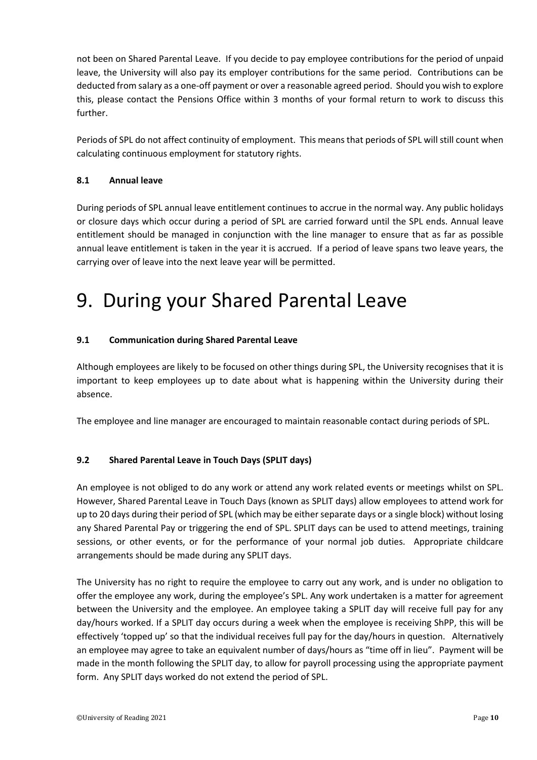not been on Shared Parental Leave. If you decide to pay employee contributions for the period of unpaid leave, the University will also pay its employer contributions for the same period. Contributions can be deducted from salary as a one-off payment or over a reasonable agreed period. Should you wish to explore this, please contact the Pensions Office within 3 months of your formal return to work to discuss this further.

Periods of SPL do not affect continuity of employment. This means that periods of SPL will still count when calculating continuous employment for statutory rights.

#### **8.1 Annual leave**

During periods of SPL annual leave entitlement continues to accrue in the normal way. Any public holidays or closure days which occur during a period of SPL are carried forward until the SPL ends. Annual leave entitlement should be managed in conjunction with the line manager to ensure that as far as possible annual leave entitlement is taken in the year it is accrued. If a period of leave spans two leave years, the carrying over of leave into the next leave year will be permitted.

### 9. During your Shared Parental Leave

#### **9.1 Communication during Shared Parental Leave**

Although employees are likely to be focused on other things during SPL, the University recognises that it is important to keep employees up to date about what is happening within the University during their absence.

The employee and line manager are encouraged to maintain reasonable contact during periods of SPL.

#### **9.2 Shared Parental Leave in Touch Days (SPLIT days)**

An employee is not obliged to do any work or attend any work related events or meetings whilst on SPL. However, Shared Parental Leave in Touch Days (known as SPLIT days) allow employees to attend work for up to 20 days during their period of SPL (which may be either separate days or a single block) without losing any Shared Parental Pay or triggering the end of SPL. SPLIT days can be used to attend meetings, training sessions, or other events, or for the performance of your normal job duties. Appropriate childcare arrangements should be made during any SPLIT days.

The University has no right to require the employee to carry out any work, and is under no obligation to offer the employee any work, during the employee's SPL. Any work undertaken is a matter for agreement between the University and the employee. An employee taking a SPLIT day will receive full pay for any day/hours worked. If a SPLIT day occurs during a week when the employee is receiving ShPP, this will be effectively 'topped up' so that the individual receives full pay for the day/hours in question. Alternatively an employee may agree to take an equivalent number of days/hours as "time off in lieu". Payment will be made in the month following the SPLIT day, to allow for payroll processing using the appropriate payment form. Any SPLIT days worked do not extend the period of SPL.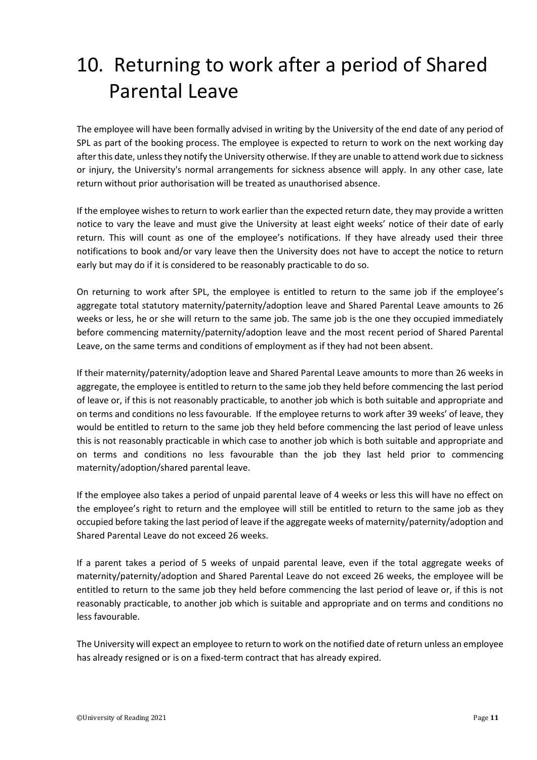# 10. Returning to work after a period of Shared Parental Leave

The employee will have been formally advised in writing by the University of the end date of any period of SPL as part of the booking process. The employee is expected to return to work on the next working day after this date, unless they notify the University otherwise. If they are unable to attend work due to sickness or injury, the University's normal arrangements for sickness absence will apply. In any other case, late return without prior authorisation will be treated as unauthorised absence.

If the employee wishes to return to work earlier than the expected return date, they may provide a written notice to vary the leave and must give the University at least eight weeks' notice of their date of early return. This will count as one of the employee's notifications. If they have already used their three notifications to book and/or vary leave then the University does not have to accept the notice to return early but may do if it is considered to be reasonably practicable to do so.

On returning to work after SPL, the employee is entitled to return to the same job if the employee's aggregate total statutory maternity/paternity/adoption leave and Shared Parental Leave amounts to 26 weeks or less, he or she will return to the same job. The same job is the one they occupied immediately before commencing maternity/paternity/adoption leave and the most recent period of Shared Parental Leave, on the same terms and conditions of employment as if they had not been absent.

If their maternity/paternity/adoption leave and Shared Parental Leave amounts to more than 26 weeks in aggregate, the employee is entitled to return to the same job they held before commencing the last period of leave or, if this is not reasonably practicable, to another job which is both suitable and appropriate and on terms and conditions no less favourable. If the employee returns to work after 39 weeks' of leave, they would be entitled to return to the same job they held before commencing the last period of leave unless this is not reasonably practicable in which case to another job which is both suitable and appropriate and on terms and conditions no less favourable than the job they last held prior to commencing maternity/adoption/shared parental leave.

If the employee also takes a period of unpaid parental leave of 4 weeks or less this will have no effect on the employee's right to return and the employee will still be entitled to return to the same job as they occupied before taking the last period of leave if the aggregate weeks of maternity/paternity/adoption and Shared Parental Leave do not exceed 26 weeks.

If a parent takes a period of 5 weeks of unpaid parental leave, even if the total aggregate weeks of maternity/paternity/adoption and Shared Parental Leave do not exceed 26 weeks, the employee will be entitled to return to the same job they held before commencing the last period of leave or, if this is not reasonably practicable, to another job which is suitable and appropriate and on terms and conditions no less favourable.

The University will expect an employee to return to work on the notified date of return unless an employee has already resigned or is on a fixed-term contract that has already expired.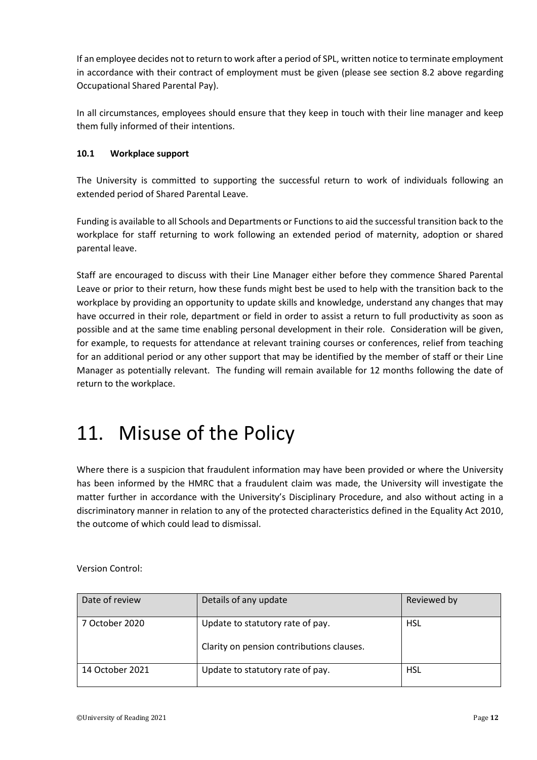If an employee decides not to return to work after a period of SPL, written notice to terminate employment in accordance with their contract of employment must be given (please see section 8.2 above regarding Occupational Shared Parental Pay).

In all circumstances, employees should ensure that they keep in touch with their line manager and keep them fully informed of their intentions.

#### **10.1 Workplace support**

The University is committed to supporting the successful return to work of individuals following an extended period of Shared Parental Leave.

Funding is available to all Schools and Departments or Functions to aid the successful transition back to the workplace for staff returning to work following an extended period of maternity, adoption or shared parental leave.

Staff are encouraged to discuss with their Line Manager either before they commence Shared Parental Leave or prior to their return, how these funds might best be used to help with the transition back to the workplace by providing an opportunity to update skills and knowledge, understand any changes that may have occurred in their role, department or field in order to assist a return to full productivity as soon as possible and at the same time enabling personal development in their role. Consideration will be given, for example, to requests for attendance at relevant training courses or conferences, relief from teaching for an additional period or any other support that may be identified by the member of staff or their Line Manager as potentially relevant. The funding will remain available for 12 months following the date of return to the workplace.

### 11. Misuse of the Policy

Where there is a suspicion that fraudulent information may have been provided or where the University has been informed by the HMRC that a fraudulent claim was made, the University will investigate the matter further in accordance with the University's Disciplinary Procedure, and also without acting in a discriminatory manner in relation to any of the protected characteristics defined in the Equality Act 2010, the outcome of which could lead to dismissal.

Version Control:

| Date of review  | Details of any update                                                         | Reviewed by |
|-----------------|-------------------------------------------------------------------------------|-------------|
| 7 October 2020  | Update to statutory rate of pay.<br>Clarity on pension contributions clauses. | HSL         |
| 14 October 2021 | Update to statutory rate of pay.                                              | HSL         |